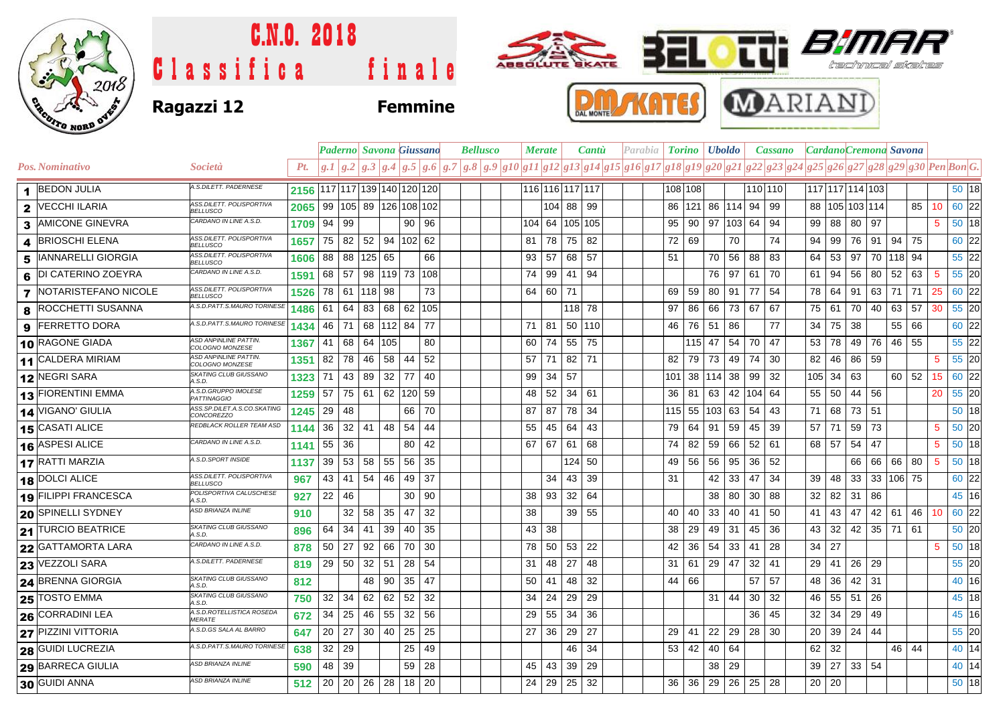

## C.N.O. 2018 Fif ABBOLUTE BKATE 듸 Εſ Classifica finale technical skates DAL MONTE **Ragazzi 12 Femmine**





|                |                           |                                                  |                              |         |                      |               |         | <b>Paderno Savona Giussano</b>               |    | <b>Bellusco</b> |  | <b>Merate</b><br><b>Cantu</b> |              |                 | Parabia   <b>Torino   Uboldo</b> |  |  |               |    | Cassano           |              | CardanoCremona Savona |                                                                                                                                      |                 |    |               |                |              |             |             |         |  |
|----------------|---------------------------|--------------------------------------------------|------------------------------|---------|----------------------|---------------|---------|----------------------------------------------|----|-----------------|--|-------------------------------|--------------|-----------------|----------------------------------|--|--|---------------|----|-------------------|--------------|-----------------------|--------------------------------------------------------------------------------------------------------------------------------------|-----------------|----|---------------|----------------|--------------|-------------|-------------|---------|--|
|                | <b>Pos. Nominativo</b>    | <i>Società</i>                                   | Pt.                          |         |                      |               |         |                                              |    |                 |  |                               |              |                 |                                  |  |  |               |    |                   |              |                       | $g.1 g.2 g.3 g.4 g.5 g.6 g.7 g.8 g.9 g10 g11 g12 g13 g14 g15 g16 g17 g18 g19 g20 g21 g22 g23 g24 g25 g26 g27 g28 g29 g30 Pen Bon G.$ |                 |    |               |                |              |             |             |         |  |
|                | <b>BEDON JULIA</b>        | A.S.DILETT. PADERNESE                            | 2156 117 117 139 140 120 120 |         |                      |               |         |                                              |    |                 |  |                               |              | 116 116 117 117 |                                  |  |  | 108 108       |    |                   |              |                       | 110 110                                                                                                                              | 117 117 114 103 |    |               |                |              |             |             | 50 18   |  |
| $\mathbf{2}$   | <b>VECCHI ILARIA</b>      | ASS.DILETT. POLISPORTIVA<br>BELLUSCO             | 2065                         |         |                      |               |         | 99   105   89   126   108   102              |    |                 |  |                               |              | 104 88 99       |                                  |  |  | 86            |    | 121  86  114  94  |              |                       | 99                                                                                                                                   |                 |    |               | 88 105 103 114 |              | 85          | 10          | $60$ 22 |  |
| 3              | <b>AMICONE GINEVRA</b>    | CARDANO IN LINE A.S.D.                           | 1709                         | 94   99 |                      |               |         | 90 96                                        |    |                 |  |                               |              | 104 64 105 105  |                                  |  |  | 95            |    | 90   97  103   64 |              |                       | 94                                                                                                                                   | 99   88         |    | 80 97         |                |              |             | 5           | 50 18   |  |
| 4              | <b>BRIOSCHI ELENA</b>     | ASS.DILETT. POLISPORTIVA<br><b>BELLUSCO</b>      | 1657                         | 75 82   |                      |               |         | 52 94 102 62                                 |    |                 |  | 81                            | 78           | 75 82           |                                  |  |  | 72 69         |    |                   | 70           |                       | 74                                                                                                                                   | 94              | 99 |               | 76 91          |              | $94$ 75     |             | 60 22   |  |
| 5              | <b>IANNARELLI GIORGIA</b> | ASS.DILETT. POLISPORTIVA<br><b>BELLUSCO</b>      | 1606                         |         | 88 88 125 65         |               |         |                                              | 66 |                 |  | 93                            | 57           | 68 57           |                                  |  |  | 51            |    | 70 56 88          |              |                       | 83                                                                                                                                   | 64 l            | 53 | 97            |                | 70 118 94    |             |             | 55 22   |  |
| 6              | <b>DI CATERINO ZOEYRA</b> | CARDANO IN LINE A.S.D.                           | 1591                         |         | 68   57              |               |         | 98   119   73   108                          |    |                 |  |                               |              | 74 99 41 94     |                                  |  |  |               |    | 76 97             |              | 61                    | 70                                                                                                                                   | 61   94         |    |               | 56 80          | 52           | 63          | -5          | 55 20   |  |
| $\overline{7}$ | NOTARISTEFANO NICOLE      | ASS.DILETT. POLISPORTIVA<br><b>BELLUSCO</b>      | 1526                         | 78 61   |                      | $ 118 $ 98    |         |                                              | 73 |                 |  |                               | 64 60 71     |                 |                                  |  |  | 69            | 59 | 80 91             |              | 77                    | 54                                                                                                                                   | 78              | 64 | 91            | $63 \mid 71$   |              | 71          | 25          | $60$ 22 |  |
| 8              | <b>ROCCHETTI SUSANNA</b>  | A.S.D.PATT.S.MAURO TORINESE                      | 1486                         | 61   64 |                      | 83            | 68      | 62 105                                       |    |                 |  |                               |              | 118 78          |                                  |  |  | 97            | 86 | 66 73 67          |              |                       | 67                                                                                                                                   | 75   61         |    | 70            | 40             | 63 57        |             | 30          | 55 20   |  |
| 9              | <b>FERRETTO DORA</b>      | A.S.D.PATT.S.MAURO TORINESE                      | 1434                         | 46 71   |                      | 68   112   84 |         |                                              | 77 |                 |  | 71   81                       |              | 50 110          |                                  |  |  | 46   76       |    | 51   86           |              |                       | 77                                                                                                                                   | 34 75           |    | -38           |                |              | 55 66       |             | 60 22   |  |
|                | 10 RAGONE GIADA           | ASD ANPINLINE PATTIN.<br>COLOGNO MONZESE         | 1367                         | 41 68   |                      | 64 105        |         |                                              | 80 |                 |  | 60                            | 74           | 55 75           |                                  |  |  |               |    | 115 47 54         |              | 70                    | 47                                                                                                                                   | 53 <sub>1</sub> | 78 | 49            |                | 76 46 55     |             |             | 55 22   |  |
|                | 11 CALDERA MIRIAM         | <b>ASD ANPINLINE PATTIN</b><br>COLOGNO MONZESE   | 1351                         | 82 78   |                      | 46            | 58      | 44                                           | 52 |                 |  | 57                            | 71           | 82 71           |                                  |  |  | 82            | 79 | 73 49             |              | 74                    | 30                                                                                                                                   | 82              | 46 |               | 86 59          |              |             | 5           | 55 20   |  |
|                | 12 NEGRI SARA             | SKATING CLUB GIUSSANO<br>A.S.D.                  | 1323                         |         | 71 43 89             |               | $32$ 77 |                                              | 40 |                 |  | 99                            | $34 \mid 57$ |                 |                                  |  |  | 101 38 114 38 |    |                   |              | 99                    | 32                                                                                                                                   | $105$ 34        |    | 63            |                |              | 60 52       | 15          | 60 22   |  |
|                | <b>13 FIORENTINI EMMA</b> | A.S.D.GRUPPO IMOLESE<br><b>PATTINAGGIO</b>       | 1259                         | 57      | 75 61                |               |         | 62 120 59                                    |    |                 |  | 48                            | 52           | $34 \mid 61$    |                                  |  |  | 36 81         |    | 63 42 104 64      |              |                       |                                                                                                                                      | 55 50           |    |               | 44 56          |              |             | 20          | $55$ 20 |  |
|                | 14 VIGANO' GIULIA         | ASS.SP.DILET.A.S.CO.SKATING<br><i>CONCOREZZO</i> | 1245                         | 29 48   |                      |               |         | 66 70                                        |    |                 |  | 87                            | 87           | 78 34           |                                  |  |  | 115 55 103 63 |    |                   |              | 54                    | 43                                                                                                                                   | 71 I            | 68 | 73 51         |                |              |             |             | $50$ 18 |  |
|                | <b>15 CASATI ALICE</b>    | REDBLACK ROLLER TEAM ASD                         | 1144                         |         | $36 \mid 32 \mid 41$ |               | 48 54   |                                              | 44 |                 |  | 55                            | 45           | 64 43           |                                  |  |  | 79 64         |    | 91 59             |              | 45                    | 39                                                                                                                                   | $57$   71       |    | 59 73         |                |              |             | 5           | 50 20   |  |
|                | 16 ASPESI ALICE           | CARDANO IN LINE A.S.D.                           | 1141                         | 55 36   |                      |               |         | 80                                           | 42 |                 |  | 67                            | 67           | 61 68           |                                  |  |  | 74            | 82 | 59 66             |              | 52                    | 61                                                                                                                                   | 68 57           |    |               | 54 47          |              |             | 5           | $50$ 18 |  |
|                | 17 RATTI MARZIA           | A.S.D.SPORT INSIDE                               | 1137                         |         |                      |               |         | $39 \mid 53 \mid 58 \mid 55 \mid 56 \mid 35$ |    |                 |  |                               |              | 124 50          |                                  |  |  | 49 56         |    | 56 95             |              | 36                    | 52                                                                                                                                   |                 |    |               |                |              | 66 66 66 80 | $5^{\circ}$ | $50$ 18 |  |
|                | $18$ DOLCI ALICE          | ASS.DILETT. POLISPORTIVA<br><b>BELLUSCO</b>      | 967                          |         | 43 41                | 54            | 46      | 49                                           | 37 |                 |  |                               | 34           | $43 \mid 39$    |                                  |  |  | 31            |    | 42                | $33 \mid 47$ |                       | 34                                                                                                                                   | 39              | 48 |               |                | 33 33 106 75 |             |             | 60 22   |  |
|                | 19 FILIPPI FRANCESCA      | POLISPORTIVA CALUSCHESE<br>A.S.D.                | 927                          | 22      | 46                   |               |         | 30                                           | 90 |                 |  | 38                            | 93           | 32              | 64                               |  |  |               |    | 38 80             |              | 30                    | 88                                                                                                                                   | 32              | 82 | $31 \quad 86$ |                |              |             |             | 45 16   |  |
|                | <b>20 SPINELLI SYDNEY</b> | ASD BRIANZA INLINE                               | 910                          |         | 32 <sub>1</sub>      | 58            | 35      | 47                                           | 32 |                 |  | 38                            |              | 39 55           |                                  |  |  | 40            | 40 | 33                | 40           | 41                    | 50                                                                                                                                   | 41              | 43 | 47            | 42 61          |              | 46          | 10          | 60 22   |  |
|                | 21 TURCIO BEATRICE        | SKATING CLUB GIUSSANO<br>4.5D                    | 896                          |         | 64 34                | 41            | 39      | 40                                           | 35 |                 |  | 43                            | 38           |                 |                                  |  |  | 38            | 29 | 49<br>31          |              | 45                    | 36                                                                                                                                   | 43              | 32 |               |                | 42 35 71 61  |             |             | 50 20   |  |
|                | <b>22 GATTAMORTA LARA</b> | CARDANO IN LINE A.S.D.                           | 878                          | 50 27   |                      | 92            | 66      | 70                                           | 30 |                 |  | 78                            | 50 l         | 53 22           |                                  |  |  | 42            | 36 | 54 33             |              | 41                    | 28                                                                                                                                   | 34              | 27 |               |                |              |             | 5           | 50 18   |  |
|                | <b>23 VEZZOLI SARA</b>    | A.S.DILETT. PADERNESE                            | 819                          | 29 50   |                      | 32            | 51      | 28 54                                        |    |                 |  | 31                            | 48           | 27              | 48                               |  |  | 31            | 61 | 29 47             |              | 32                    | 41                                                                                                                                   | 29              | 41 | 26 29         |                |              |             |             | 55 20   |  |
|                | <b>24 BRENNA GIORGIA</b>  | SKATING CLUB GIUSSANO<br>A.S.D.                  | 812                          |         |                      | 48            | 90      | 35                                           | 47 |                 |  | 50                            | 41           | 48              | 32                               |  |  | 44            | 66 |                   |              | 57                    | 57                                                                                                                                   | 48              | 36 | 42 31         |                |              |             |             | 40 16   |  |
|                | <b>25 TOSTO EMMA</b>      | SKATING CLUB GIUSSANO<br>A.S.D.                  | 750                          | 32      | 34                   | 62            | 62      | 52                                           | 32 |                 |  | 34                            | 24           | 29              | 29                               |  |  |               |    | $31 \mid 44$      |              | 30                    | 32                                                                                                                                   | 46              | 55 | 51            | 26             |              |             |             | 45 18   |  |
|                | <b>26 CORRADINI LEA</b>   | A.S.D.ROTELLISTICA ROSEDA<br><i>MERATE</i>       | 672                          | 34      | 25                   | 46            | 55      | 32                                           | 56 |                 |  | 29                            | 55           | 34              | 36                               |  |  |               |    |                   |              | 36                    | 45                                                                                                                                   | 32              | 34 | 29            | 49             |              |             |             | 45 16   |  |
|                | 27 PIZZINI VITTORIA       | A.S.D.GS SALA AL BARRO                           | 647                          | 20 27   |                      | $30 \mid 40$  |         | 25                                           | 25 |                 |  | 27                            | 36           | 29              | 27                               |  |  | 29            | 41 | 22<br>29          |              | 28                    | 30                                                                                                                                   | 20              | 39 | 24 44         |                |              |             |             | 55 20   |  |
|                | <b>28 GUIDI LUCREZIA</b>  | A.S.D.PATT.S.MAURO TORINESE                      | 638                          | 32      | 29                   |               |         | 25                                           | 49 |                 |  |                               |              | 46              | -34                              |  |  | 53 42         |    | 40 64             |              |                       |                                                                                                                                      | 62              | 32 |               |                |              | 46 44       |             | 40 14   |  |
|                | <b>29 BARRECA GIULIA</b>  | ASD BRIANZA INLINE                               | 590                          | 48 39   |                      |               |         | 59 28                                        |    |                 |  | 45                            | 43           | 39 29           |                                  |  |  |               |    | 38<br>29          |              |                       |                                                                                                                                      | $39$ 27         |    | $33 \mid 54$  |                |              |             |             | 40 14   |  |
|                | 30 GUIDI ANNA             | <b>ASD BRIANZA INLINE</b>                        | 512                          |         | $20 \mid 20 \mid$    |               |         | 26 28 18 20                                  |    |                 |  |                               |              | 24 29 25 32     |                                  |  |  |               |    | 36 36 29 26 25    |              |                       | 28                                                                                                                                   | $20 \mid 20$    |    |               |                |              |             |             | 50 18   |  |